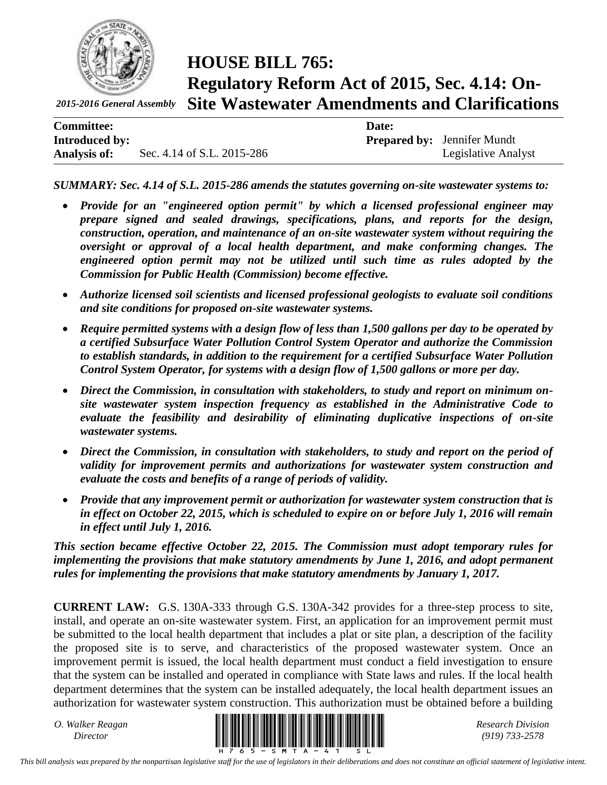

*2015-2016 General Assembly*

# **HOUSE BILL 765: Regulatory Reform Act of 2015, Sec. 4.14: On-Site Wastewater Amendments and Clarifications**

| <b>Committee:</b>     |                            | Date: |                                    |
|-----------------------|----------------------------|-------|------------------------------------|
| <b>Introduced by:</b> |                            |       | <b>Prepared by:</b> Jennifer Mundt |
| <b>Analysis of:</b>   | Sec. 4.14 of S.L. 2015-286 |       | Legislative Analyst                |

*SUMMARY: Sec. 4.14 of S.L. 2015-286 amends the statutes governing on-site wastewater systems to:*

- *Provide for an "engineered option permit" by which a licensed professional engineer may prepare signed and sealed drawings, specifications, plans, and reports for the design, construction, operation, and maintenance of an on-site wastewater system without requiring the oversight or approval of a local health department, and make conforming changes. The engineered option permit may not be utilized until such time as rules adopted by the Commission for Public Health (Commission) become effective.*
- *Authorize licensed soil scientists and licensed professional geologists to evaluate soil conditions and site conditions for proposed on-site wastewater systems.*
- *Require permitted systems with a design flow of less than 1,500 gallons per day to be operated by a certified Subsurface Water Pollution Control System Operator and authorize the Commission to establish standards, in addition to the requirement for a certified Subsurface Water Pollution Control System Operator, for systems with a design flow of 1,500 gallons or more per day.*
- *Direct the Commission, in consultation with stakeholders, to study and report on minimum onsite wastewater system inspection frequency as established in the Administrative Code to evaluate the feasibility and desirability of eliminating duplicative inspections of on-site wastewater systems.*
- *Direct the Commission, in consultation with stakeholders, to study and report on the period of validity for improvement permits and authorizations for wastewater system construction and evaluate the costs and benefits of a range of periods of validity.*
- *Provide that any improvement permit or authorization for wastewater system construction that is in effect on October 22, 2015, which is scheduled to expire on or before July 1, 2016 will remain in effect until July 1, 2016.*

*This section became effective October 22, 2015. The Commission must adopt temporary rules for implementing the provisions that make statutory amendments by June 1, 2016, and adopt permanent rules for implementing the provisions that make statutory amendments by January 1, 2017.*

**CURRENT LAW:** G.S. 130A-333 through G.S. 130A-342 provides for a three-step process to site, install, and operate an on-site wastewater system. First, an application for an improvement permit must be submitted to the local health department that includes a plat or site plan, a description of the facility the proposed site is to serve, and characteristics of the proposed wastewater system. Once an improvement permit is issued, the local health department must conduct a field investigation to ensure that the system can be installed and operated in compliance with State laws and rules. If the local health department determines that the system can be installed adequately, the local health department issues an authorization for wastewater system construction. This authorization must be obtained before a building

*O. Walker Reagan*



*(919) 733-2578*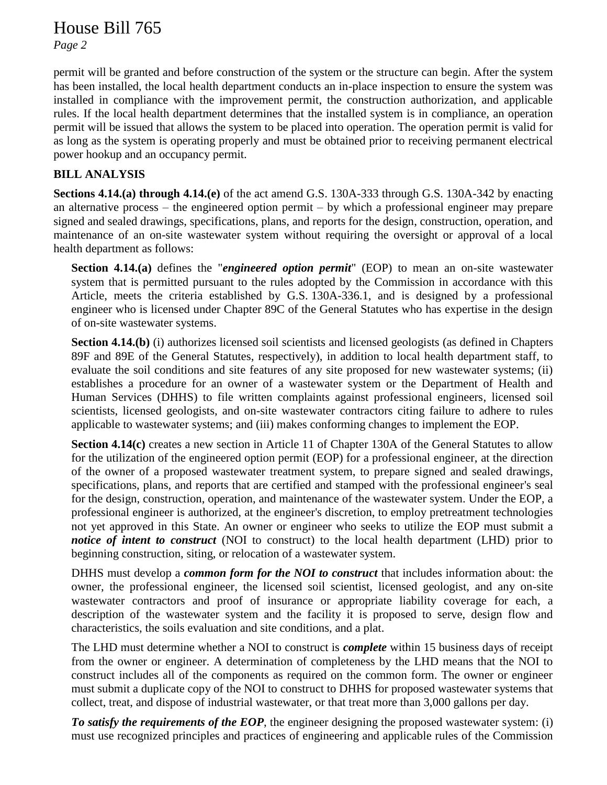### House Bill 765

*Page 2*

permit will be granted and before construction of the system or the structure can begin. After the system has been installed, the local health department conducts an in-place inspection to ensure the system was installed in compliance with the improvement permit, the construction authorization, and applicable rules. If the local health department determines that the installed system is in compliance, an operation permit will be issued that allows the system to be placed into operation. The operation permit is valid for as long as the system is operating properly and must be obtained prior to receiving permanent electrical power hookup and an occupancy permit.

### **BILL ANALYSIS**

**Sections 4.14.(a) through 4.14.(e)** of the act amend G.S. 130A-333 through G.S. 130A-342 by enacting an alternative process – the engineered option permit – by which a professional engineer may prepare signed and sealed drawings, specifications, plans, and reports for the design, construction, operation, and maintenance of an on-site wastewater system without requiring the oversight or approval of a local health department as follows:

**Section 4.14.(a)** defines the "*engineered option permit*" (EOP) to mean an on-site wastewater system that is permitted pursuant to the rules adopted by the Commission in accordance with this Article, meets the criteria established by G.S. 130A-336.1, and is designed by a professional engineer who is licensed under Chapter 89C of the General Statutes who has expertise in the design of on-site wastewater systems.

**Section 4.14.(b)** (i) authorizes licensed soil scientists and licensed geologists (as defined in Chapters 89F and 89E of the General Statutes, respectively), in addition to local health department staff, to evaluate the soil conditions and site features of any site proposed for new wastewater systems; (ii) establishes a procedure for an owner of a wastewater system or the Department of Health and Human Services (DHHS) to file written complaints against professional engineers, licensed soil scientists, licensed geologists, and on-site wastewater contractors citing failure to adhere to rules applicable to wastewater systems; and (iii) makes conforming changes to implement the EOP.

**Section 4.14(c)** creates a new section in Article 11 of Chapter 130A of the General Statutes to allow for the utilization of the engineered option permit (EOP) for a professional engineer, at the direction of the owner of a proposed wastewater treatment system, to prepare signed and sealed drawings, specifications, plans, and reports that are certified and stamped with the professional engineer's seal for the design, construction, operation, and maintenance of the wastewater system. Under the EOP, a professional engineer is authorized, at the engineer's discretion, to employ pretreatment technologies not yet approved in this State. An owner or engineer who seeks to utilize the EOP must submit a *notice of intent to construct* (NOI to construct) to the local health department (LHD) prior to beginning construction, siting, or relocation of a wastewater system.

DHHS must develop a *common form for the NOI to construct* that includes information about: the owner, the professional engineer, the licensed soil scientist, licensed geologist, and any on-site wastewater contractors and proof of insurance or appropriate liability coverage for each, a description of the wastewater system and the facility it is proposed to serve, design flow and characteristics, the soils evaluation and site conditions, and a plat.

The LHD must determine whether a NOI to construct is *complete* within 15 business days of receipt from the owner or engineer. A determination of completeness by the LHD means that the NOI to construct includes all of the components as required on the common form. The owner or engineer must submit a duplicate copy of the NOI to construct to DHHS for proposed wastewater systems that collect, treat, and dispose of industrial wastewater, or that treat more than 3,000 gallons per day.

*To satisfy the requirements of the EOP*, the engineer designing the proposed wastewater system: (i) must use recognized principles and practices of engineering and applicable rules of the Commission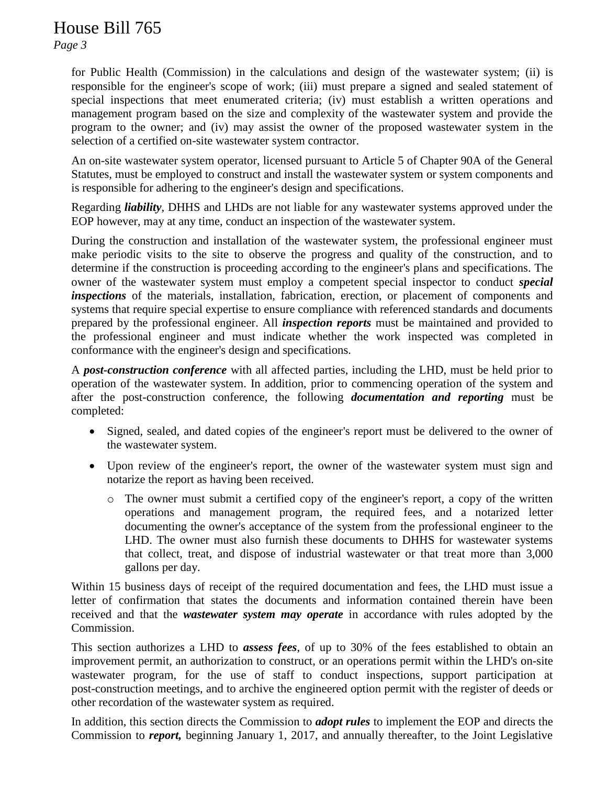## House Bill 765

*Page 3*

for Public Health (Commission) in the calculations and design of the wastewater system; (ii) is responsible for the engineer's scope of work; (iii) must prepare a signed and sealed statement of special inspections that meet enumerated criteria; (iv) must establish a written operations and management program based on the size and complexity of the wastewater system and provide the program to the owner; and (iv) may assist the owner of the proposed wastewater system in the selection of a certified on-site wastewater system contractor.

An on-site wastewater system operator, licensed pursuant to Article 5 of Chapter 90A of the General Statutes, must be employed to construct and install the wastewater system or system components and is responsible for adhering to the engineer's design and specifications.

Regarding *liability,* DHHS and LHDs are not liable for any wastewater systems approved under the EOP however, may at any time, conduct an inspection of the wastewater system.

During the construction and installation of the wastewater system, the professional engineer must make periodic visits to the site to observe the progress and quality of the construction, and to determine if the construction is proceeding according to the engineer's plans and specifications. The owner of the wastewater system must employ a competent special inspector to conduct *special inspections* of the materials, installation, fabrication, erection, or placement of components and systems that require special expertise to ensure compliance with referenced standards and documents prepared by the professional engineer. All *inspection reports* must be maintained and provided to the professional engineer and must indicate whether the work inspected was completed in conformance with the engineer's design and specifications.

A *post-construction conference* with all affected parties, including the LHD, must be held prior to operation of the wastewater system. In addition, prior to commencing operation of the system and after the post-construction conference, the following *documentation and reporting* must be completed:

- Signed, sealed, and dated copies of the engineer's report must be delivered to the owner of the wastewater system.
- Upon review of the engineer's report, the owner of the wastewater system must sign and notarize the report as having been received.
	- o The owner must submit a certified copy of the engineer's report, a copy of the written operations and management program, the required fees, and a notarized letter documenting the owner's acceptance of the system from the professional engineer to the LHD. The owner must also furnish these documents to DHHS for wastewater systems that collect, treat, and dispose of industrial wastewater or that treat more than 3,000 gallons per day.

Within 15 business days of receipt of the required documentation and fees, the LHD must issue a letter of confirmation that states the documents and information contained therein have been received and that the *wastewater system may operate* in accordance with rules adopted by the Commission.

This section authorizes a LHD to *assess fees*, of up to 30% of the fees established to obtain an improvement permit, an authorization to construct, or an operations permit within the LHD's on-site wastewater program, for the use of staff to conduct inspections, support participation at post-construction meetings, and to archive the engineered option permit with the register of deeds or other recordation of the wastewater system as required.

In addition, this section directs the Commission to *adopt rules* to implement the EOP and directs the Commission to *report,* beginning January 1, 2017, and annually thereafter, to the Joint Legislative